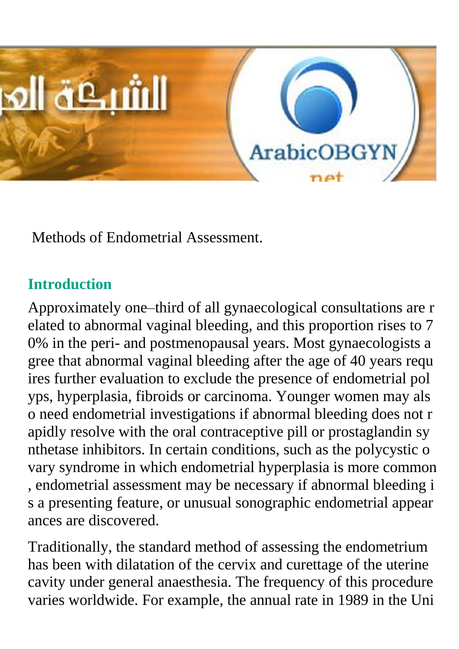

Methods of Endometrial Assessment.

#### **Introduction**

Approximately one–third of all gynaecological consultations are r elated to abnormal vaginal bleeding, and this proportion rises to 7 0% in the peri- and postmenopausal years. Most gynaecologists a gree that abnormal vaginal bleeding after the age of 40 years requ ires further evaluation to exclude the presence of endometrial pol yps, hyperplasia, fibroids or carcinoma. Younger women may als o need endometrial investigations if abnormal bleeding does not r apidly resolve with the oral contraceptive pill or prostaglandin sy nthetase inhibitors. In certain conditions, such as the polycystic o vary syndrome in which endometrial hyperplasia is more common , endometrial assessment may be necessary if abnormal bleeding i s a presenting feature, or unusual sonographic endometrial appear ances are discovered.

Traditionally, the standard method of assessing the endometrium has been with dilatation of the cervix and curettage of the uterine cavity under general anaesthesia. The frequency of this procedure varies worldwide. For example, the annual rate in 1989 in the Uni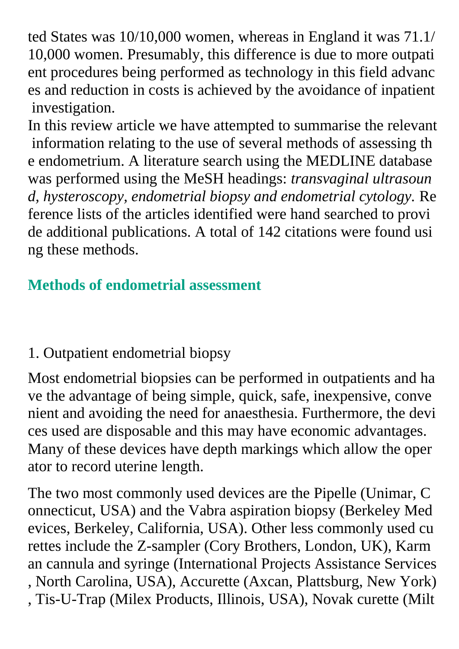ted States was 10/10,000 women, whereas in England it was 71.1/ 10,000 women. Presumably, this difference is due to more outpati ent procedures being performed as technology in this field advanc es and reduction in costs is achieved by the avoidance of inpatient investigation.

In this review article we have attempted to summarise the relevant information relating to the use of several methods of assessing th e endometrium. A literature search using the MEDLINE database was performed using the MeSH headings: *transvaginal ultrasoun d, hysteroscopy, endometrial biopsy and endometrial cytology.* Re ference lists of the articles identified were hand searched to provi de additional publications. A total of 142 citations were found usi ng these methods.

#### **Methods of endometrial assessment**

#### 1. Outpatient endometrial biopsy

Most endometrial biopsies can be performed in outpatients and ha ve the advantage of being simple, quick, safe, inexpensive, conve nient and avoiding the need for anaesthesia. Furthermore, the devi ces used are disposable and this may have economic advantages. Many of these devices have depth markings which allow the oper ator to record uterine length.

The two most commonly used devices are the Pipelle (Unimar, C onnecticut, USA) and the Vabra aspiration biopsy (Berkeley Med evices, Berkeley, California, USA). Other less commonly used cu rettes include the Z-sampler (Cory Brothers, London, UK), Karm an cannula and syringe (International Projects Assistance Services , North Carolina, USA), Accurette (Axcan, Plattsburg, New York) , Tis-U-Trap (Milex Products, Illinois, USA), Novak curette (Milt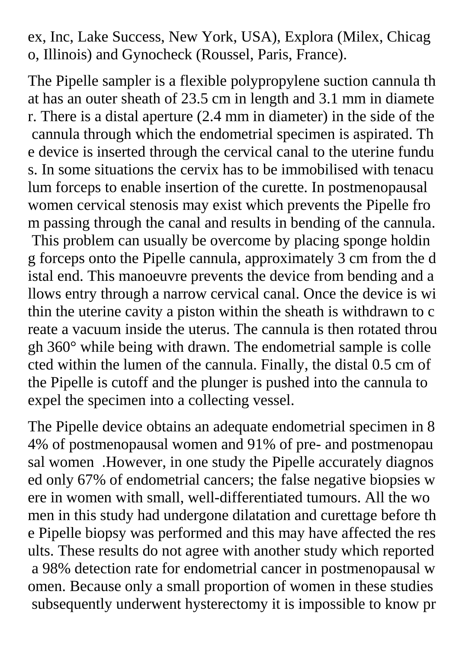ex, Inc, Lake Success, New York, USA), Explora (Milex, Chicag o, Illinois) and Gynocheck (Roussel, Paris, France).

The Pipelle sampler is a flexible polypropylene suction cannula th at has an outer sheath of 23.5 cm in length and 3.1 mm in diamete r. There is a distal aperture (2.4 mm in diameter) in the side of the cannula through which the endometrial specimen is aspirated. Th e device is inserted through the cervical canal to the uterine fundu s. In some situations the cervix has to be immobilised with tenacu lum forceps to enable insertion of the curette. In postmenopausal women cervical stenosis may exist which prevents the Pipelle fro m passing through the canal and results in bending of the cannula. This problem can usually be overcome by placing sponge holdin g forceps onto the Pipelle cannula, approximately 3 cm from the d istal end. This manoeuvre prevents the device from bending and a llows entry through a narrow cervical canal. Once the device is wi thin the uterine cavity a piston within the sheath is withdrawn to c reate a vacuum inside the uterus. The cannula is then rotated throu gh 360° while being with drawn. The endometrial sample is colle cted within the lumen of the cannula. Finally, the distal 0.5 cm of the Pipelle is cutoff and the plunger is pushed into the cannula to expel the specimen into a collecting vessel.

The Pipelle device obtains an adequate endometrial specimen in 8 4% of postmenopausal women and 91% of pre- and postmenopau sal women .However, in one study the Pipelle accurately diagnos ed only 67% of endometrial cancers; the false negative biopsies w ere in women with small, well-differentiated tumours. All the wo men in this study had undergone dilatation and curettage before th e Pipelle biopsy was performed and this may have affected the res ults. These results do not agree with another study which reported a 98% detection rate for endometrial cancer in postmenopausal w omen. Because only a small proportion of women in these studies subsequently underwent hysterectomy it is impossible to know pr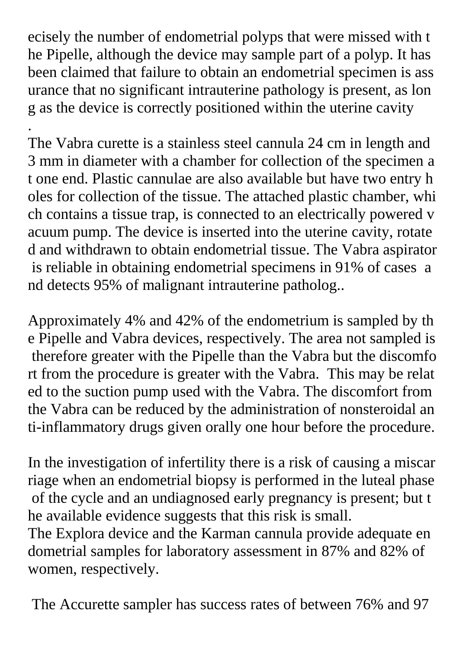ecisely the number of endometrial polyps that were missed with t he Pipelle, although the device may sample part of a polyp. It has been claimed that failure to obtain an endometrial specimen is ass urance that no significant intrauterine pathology is present, as lon g as the device is correctly positioned within the uterine cavity

.

The Vabra curette is a stainless steel cannula 24 cm in length and 3 mm in diameter with a chamber for collection of the specimen a t one end. Plastic cannulae are also available but have two entry h oles for collection of the tissue. The attached plastic chamber, whi ch contains a tissue trap, is connected to an electrically powered v acuum pump. The device is inserted into the uterine cavity, rotate d and withdrawn to obtain endometrial tissue. The Vabra aspirator is reliable in obtaining endometrial specimens in 91% of cases a nd detects 95% of malignant intrauterine patholog..

Approximately 4% and 42% of the endometrium is sampled by th e Pipelle and Vabra devices, respectively. The area not sampled is therefore greater with the Pipelle than the Vabra but the discomfo rt from the procedure is greater with the Vabra. This may be relat ed to the suction pump used with the Vabra. The discomfort from the Vabra can be reduced by the administration of nonsteroidal an ti-inflammatory drugs given orally one hour before the procedure.

In the investigation of infertility there is a risk of causing a miscar riage when an endometrial biopsy is performed in the luteal phase of the cycle and an undiagnosed early pregnancy is present; but t he available evidence suggests that this risk is small.

The Explora device and the Karman cannula provide adequate en dometrial samples for laboratory assessment in 87% and 82% of women, respectively.

The Accurette sampler has success rates of between 76% and 97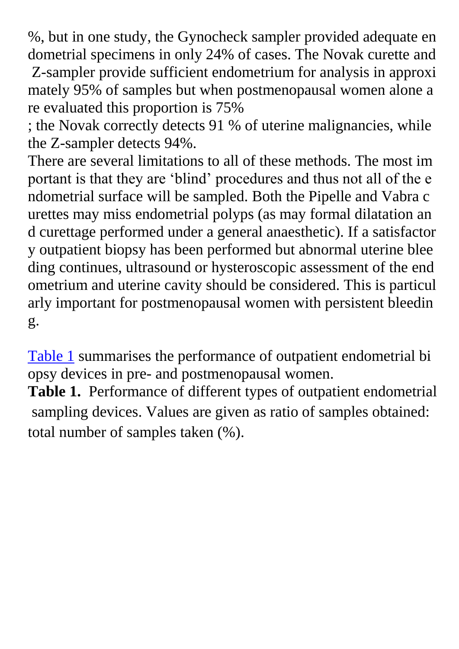%, but in one study, the Gynocheck sampler provided adequate en dometrial specimens in only 24% of cases. The Novak curette and Z-sampler provide sufficient endometrium for analysis in approxi

mately 95% of samples but when postmenopausal women alone a re evaluated this proportion is 75%

; the Novak correctly detects 91 % of uterine malignancies, while the Z-sampler detects 94%.

There are several limitations to all of these methods. The most im portant is that they are 'blind' procedures and thus not all of the e ndometrial surface will be sampled. Both the Pipelle and Vabra c urettes may miss endometrial polyps (as may formal dilatation an d curettage performed under a general anaesthetic). If a satisfactor y outpatient biopsy has been performed but abnormal uterine blee ding continues, ultrasound or hysteroscopic assessment of the end ometrium and uterine cavity should be considered. This is particul arly important for postmenopausal women with persistent bleedin g.

Table 1 [summarises the performance of outpatient endometrial bi](http://onlinelibrary.wiley.com/doi/10.1111/j.1471-0528.1999.tb08358.x/full) opsy devices in pre- and postmenopausal women.

**Table 1.** Performance of different types of outpatient endometrial sampling devices. Values are given as ratio of samples obtained: total number of samples taken (%).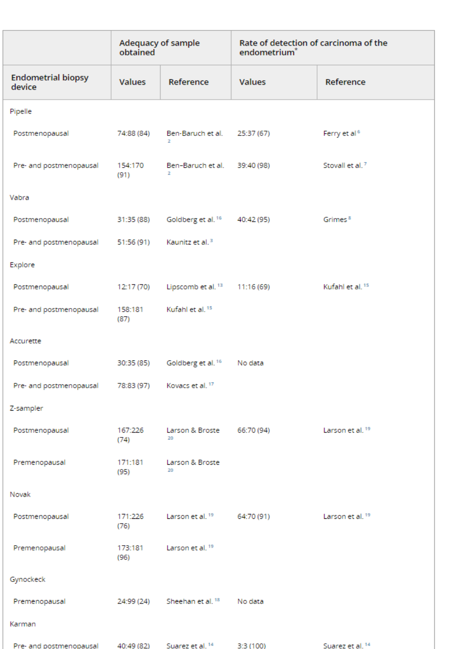|                                                     | Adequacy of sample<br>obtained |                                          | Rate of detection of carcinoma of the<br>endometrium <sup>*</sup> |                             |
|-----------------------------------------------------|--------------------------------|------------------------------------------|-------------------------------------------------------------------|-----------------------------|
| <b>Endometrial biopsy</b><br>device                 | <b>Values</b>                  | Reference                                | <b>Values</b>                                                     | Reference                   |
| Pipelle                                             |                                |                                          |                                                                   |                             |
| Postmenopausal                                      | 74:88 (84)                     | Ben-Baruch et al.<br>$\mathbf{z}$        | 25:37 (67)                                                        | Ferry et al <sup>6</sup>    |
| Pre- and postmenopausal                             | 154:170<br>(91)                | Ben-Baruch et al. 39:40 (98)<br>z        |                                                                   | Stovall et al. <sup>7</sup> |
| Vabra                                               |                                |                                          |                                                                   |                             |
| Postmenopausal                                      | 31:35 (88)                     | Goldberg et al. 16                       | 40:42 (95)                                                        | Grimes <sup>8</sup>         |
| Pre- and postmenopausal                             | 51:56 (91)                     | Kaunitz et al. <sup>3</sup>              |                                                                   |                             |
| Explore                                             |                                |                                          |                                                                   |                             |
| Postmenopausal                                      | 12:17 (70)                     | Lipscomb et al. <sup>13</sup> 11:16 (69) |                                                                   | Kufahl et al. <sup>15</sup> |
| Pre- and postmenopausal                             | 158:181<br>(87)                | Kufahl et al. <sup>15</sup>              |                                                                   |                             |
| Accurette                                           |                                |                                          |                                                                   |                             |
| Postmenopausal                                      | 30:35 (85)                     | Goldberg et al. 16                       | No data                                                           |                             |
| Pre- and postmenopausal 78:83 (97) Kovacs et al. 17 |                                |                                          |                                                                   |                             |
| Z-sampler                                           |                                |                                          |                                                                   |                             |
| Postmenopausal                                      | 167:226<br>(74)                | Larson & Broste<br>20                    | 66:70 (94)                                                        | Larson et al. <sup>19</sup> |
| Premenopausal                                       | 171:181<br>(95)                | Larson & Broste<br>20                    |                                                                   |                             |
| Novak                                               |                                |                                          |                                                                   |                             |
| Postmenopausal                                      | 171:226<br>(76)                | Larson et al. 19                         | 64:70 (91)                                                        | Larson et al. <sup>19</sup> |
| Premenopausal                                       | 173:181<br>(96)                | Larson et al. <sup>19</sup>              |                                                                   |                             |
| Gynockeck                                           |                                |                                          |                                                                   |                             |
| Premenopausal                                       |                                | 24:99 (24) Sheehan et al. 18             | No data                                                           |                             |
| Karman                                              |                                |                                          |                                                                   |                             |
| Pre- and postmenopausal                             | 40:49 (82)                     | Suarez et al. <sup>14</sup>              | 3:3(100)                                                          | Suarez et al. <sup>14</sup> |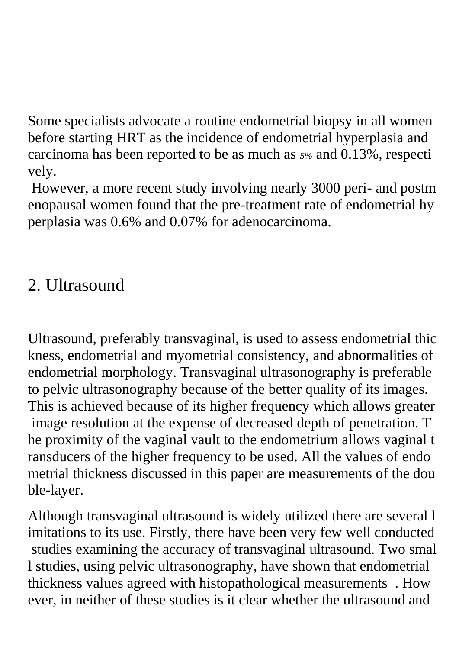Some specialists advocate a routine endometrial biopsy in all women before starting HRT as the incidence of endometrial hyperplasia and carcinoma has been reported to be as much as *5%* and 0.13%, respecti vely.

However, a more recent study involving nearly 3000 peri- and postm enopausal women found that the pre-treatment rate of endometrial hy perplasia was 0.6% and 0.07% for adenocarcinoma.

### 2. Ultrasound

Ultrasound, preferably transvaginal, is used to assess endometrial thic kness, endometrial and myometrial consistency, and abnormalities of endometrial morphology. Transvaginal ultrasonography is preferable to pelvic ultrasonography because of the better quality of its images. This is achieved because of its higher frequency which allows greater image resolution at the expense of decreased depth of penetration. T he proximity of the vaginal vault to the endometrium allows vaginal t ransducers of the higher frequency to be used. All the values of endo metrial thickness discussed in this paper are measurements of the dou ble-layer.

Although transvaginal ultrasound is widely utilized there are several l imitations to its use. Firstly, there have been very few well conducted studies examining the accuracy of transvaginal ultrasound. Two smal l studies, using pelvic ultrasonography, have shown that endometrial thickness values agreed with histopathological measurements . How ever, in neither of these studies is it clear whether the ultrasound and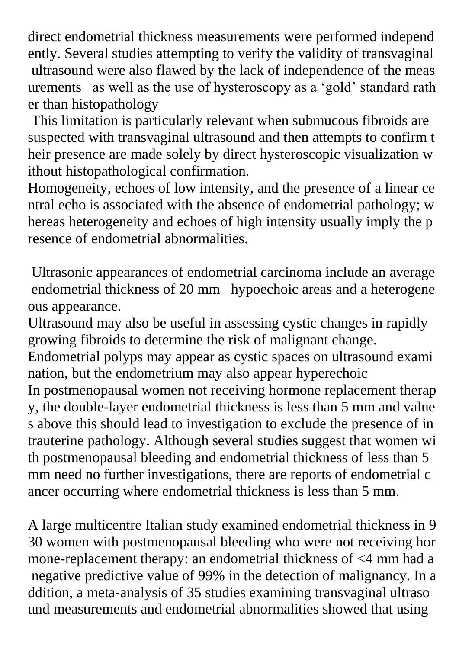direct endometrial thickness measurements were performed independ ently. Several studies attempting to verify the validity of transvaginal ultrasound were also flawed by the lack of independence of the meas urements as well as the use of hysteroscopy as a 'gold' standard rath er than histopathology

This limitation is particularly relevant when submucous fibroids are suspected with transvaginal ultrasound and then attempts to confirm t heir presence are made solely by direct hysteroscopic visualization w ithout histopathological confirmation.

Homogeneity, echoes of low intensity, and the presence of a linear ce ntral echo is associated with the absence of endometrial pathology; w hereas heterogeneity and echoes of high intensity usually imply the p resence of endometrial abnormalities.

Ultrasonic appearances of endometrial carcinoma include an average endometrial thickness of 20 mm hypoechoic areas and a heterogene ous appearance.

Ultrasound may also be useful in assessing cystic changes in rapidly growing fibroids to determine the risk of malignant change.

Endometrial polyps may appear as cystic spaces on ultrasound exami nation, but the endometrium may also appear hyperechoic

In postmenopausal women not receiving hormone replacement therap y, the double-layer endometrial thickness is less than 5 mm and value s above this should lead to investigation to exclude the presence of in trauterine pathology. Although several studies suggest that women wi th postmenopausal bleeding and endometrial thickness of less than 5 mm need no further investigations, there are reports of endometrial c ancer occurring where endometrial thickness is less than 5 mm.

A large multicentre Italian study examined endometrial thickness in 9 30 women with postmenopausal bleeding who were not receiving hor mone-replacement therapy: an endometrial thickness of <4 mm had a negative predictive value of 99% in the detection of malignancy. In a ddition, a meta-analysis of 35 studies examining transvaginal ultraso und measurements and endometrial abnormalities showed that using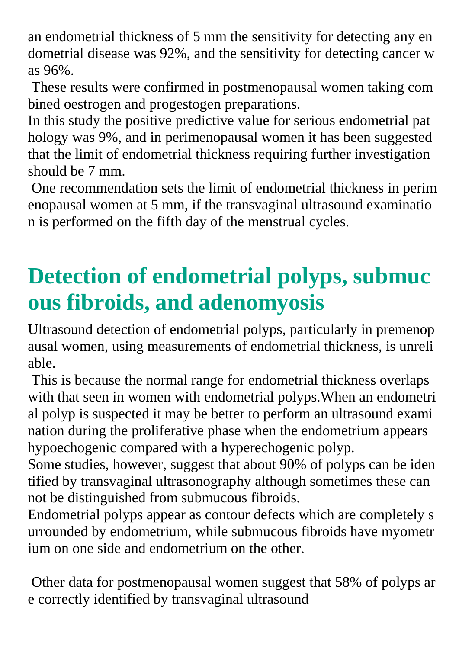an endometrial thickness of 5 mm the sensitivity for detecting any en dometrial disease was 92%, and the sensitivity for detecting cancer w as 96%.

These results were confirmed in postmenopausal women taking com bined oestrogen and progestogen preparations.

In this study the positive predictive value for serious endometrial pat hology was 9%, and in perimenopausal women it has been suggested that the limit of endometrial thickness requiring further investigation should be 7 mm.

One recommendation sets the limit of endometrial thickness in perim enopausal women at 5 mm, if the transvaginal ultrasound examinatio n is performed on the fifth day of the menstrual cycles.

# **Detection of endometrial polyps, submuc ous fibroids, and adenomyosis**

Ultrasound detection of endometrial polyps, particularly in premenop ausal women, using measurements of endometrial thickness, is unreli able.

This is because the normal range for endometrial thickness overlaps with that seen in women with endometrial polyps.When an endometri al polyp is suspected it may be better to perform an ultrasound exami nation during the proliferative phase when the endometrium appears hypoechogenic compared with a hyperechogenic polyp.

Some studies, however, suggest that about 90% of polyps can be iden tified by transvaginal ultrasonography although sometimes these can not be distinguished from submucous fibroids.

Endometrial polyps appear as contour defects which are completely s urrounded by endometrium, while submucous fibroids have myometr ium on one side and endometrium on the other.

Other data for postmenopausal women suggest that 58% of polyps ar e correctly identified by transvaginal ultrasound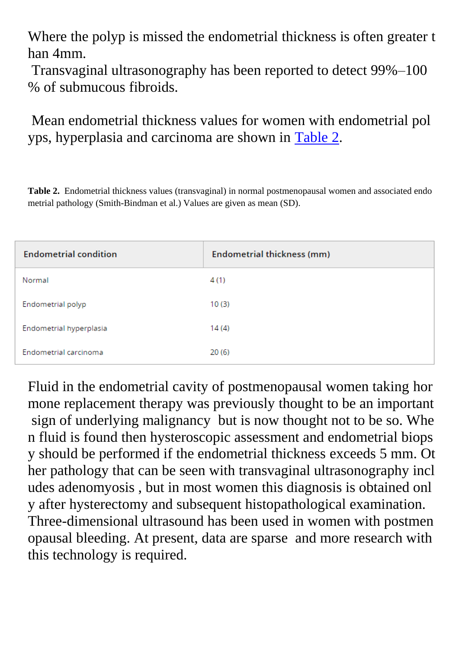Where the polyp is missed the endometrial thickness is often greater t han 4mm.

Transvaginal ultrasonography has been reported to detect 99%–100 % of submucous fibroids.

Mean endometrial thickness values for women with endometrial pol yps, hyperplasia and carcinoma are shown in [Table 2.](http://onlinelibrary.wiley.com/doi/10.1111/j.1471-0528.1999.tb08358.x/full)

**Table 2.** Endometrial thickness values (transvaginal) in normal postmenopausal women and associated endo metrial pathology (Smith-Bindman et al.) Values are given as mean (SD).

| <b>Endometrial condition</b> | Endometrial thickness (mm) |  |  |
|------------------------------|----------------------------|--|--|
| Normal                       | 4 (1)                      |  |  |
| Endometrial polyp            | 10(3)                      |  |  |
| Endometrial hyperplasia      | 14(4)                      |  |  |
| Endometrial carcinoma        | 20(6)                      |  |  |

Fluid in the endometrial cavity of postmenopausal women taking hor mone replacement therapy was previously thought to be an important sign of underlying malignancy but is now thought not to be so. Whe n fluid is found then hysteroscopic assessment and endometrial biops y should be performed if the endometrial thickness exceeds 5 mm. Ot her pathology that can be seen with transvaginal ultrasonography incl udes adenomyosis , but in most women this diagnosis is obtained onl y after hysterectomy and subsequent histopathological examination. Three-dimensional ultrasound has been used in women with postmen opausal bleeding. At present, data are sparse and more research with this technology is required.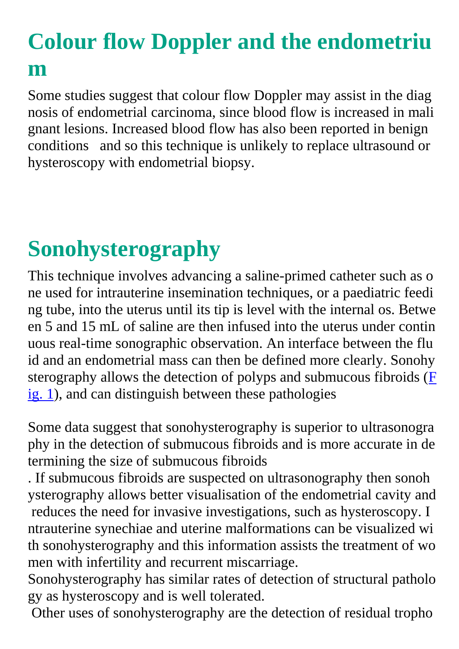## **Colour flow Doppler and the endometriu m**

Some studies suggest that colour flow Doppler may assist in the diag nosis of endometrial carcinoma, since blood flow is increased in mali gnant lesions. Increased blood flow has also been reported in benign conditions and so this technique is unlikely to replace ultrasound or hysteroscopy with endometrial biopsy.

# **Sonohysterography**

This technique involves advancing a saline-primed catheter such as o ne used for intrauterine insemination techniques, or a paediatric feedi ng tube, into the uterus until its tip is level with the internal os. Betwe en 5 and 15 mL of saline are then infused into the uterus under contin uous real-time sonographic observation. An interface between the flu id and an endometrial mass can then be defined more clearly. Sonohy sterography allows the detection of polyps and submucous fibroids  $(F)$  $(F)$ [ig. 1\)](http://onlinelibrary.wiley.com/doi/10.1111/j.1471-0528.1999.tb08358.x/full), and can distinguish between these pathologies

Some data suggest that sonohysterography is superior to ultrasonogra phy in the detection of submucous fibroids and is more accurate in de termining the size of submucous fibroids

. If submucous fibroids are suspected on ultrasonography then sonoh ysterography allows better visualisation of the endometrial cavity and reduces the need for invasive investigations, such as hysteroscopy. I ntrauterine synechiae and uterine malformations can be visualized wi th sonohysterography and this information assists the treatment of wo men with infertility and recurrent miscarriage.

Sonohysterography has similar rates of detection of structural patholo gy as hysteroscopy and is well tolerated.

Other uses of sonohysterography are the detection of residual tropho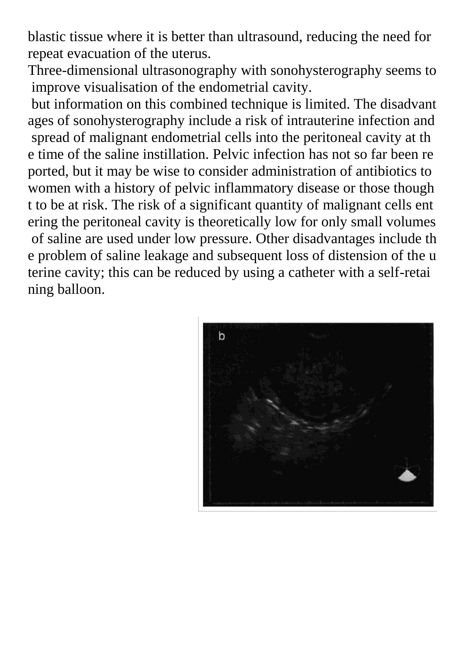blastic tissue where it is better than ultrasound, reducing the need for repeat evacuation of the uterus.

Three-dimensional ultrasonography with sonohysterography seems to improve visualisation of the endometrial cavity.

but information on this combined technique is limited. The disadvant ages of sonohysterography include a risk of intrauterine infection and spread of malignant endometrial cells into the peritoneal cavity at th e time of the saline instillation. Pelvic infection has not so far been re ported, but it may be wise to consider administration of antibiotics to women with a history of pelvic inflammatory disease or those though t to be at risk. The risk of a significant quantity of malignant cells ent ering the peritoneal cavity is theoretically low for only small volumes of saline are used under low pressure. Other disadvantages include th e problem of saline leakage and subsequent loss of distension of the u terine cavity; this can be reduced by using a catheter with a self-retai ning balloon.

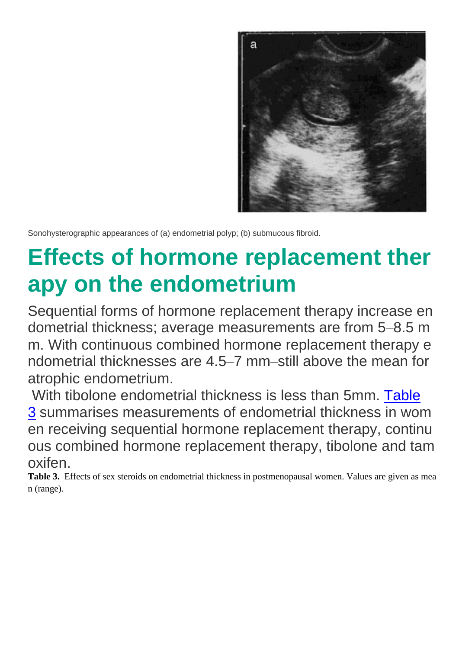

Sonohysterographic appearances of (a) endometrial polyp; (b) submucous fibroid.

# **Effects of hormone replacement ther apy on the endometrium**

Sequential forms of hormone replacement therapy increase en dometrial thickness; average measurements are from 5–8.5 m m. With continuous combined hormone replacement therapy e ndometrial thicknesses are 4.5–7 mm–still above the mean for atrophic endometrium.

With tibolone endometrial thickness is less than 5mm. [Table](http://onlinelibrary.wiley.com/doi/10.1111/j.1471-0528.1999.tb08358.x/full) [3](http://onlinelibrary.wiley.com/doi/10.1111/j.1471-0528.1999.tb08358.x/full) summarises measurements of endometrial thickness in wom en receiving sequential hormone replacement therapy, continu ous combined hormone replacement therapy, tibolone and tam oxifen.

**Table 3.** Effects of sex steroids on endometrial thickness in postmenopausal women. Values are given as mea n (range).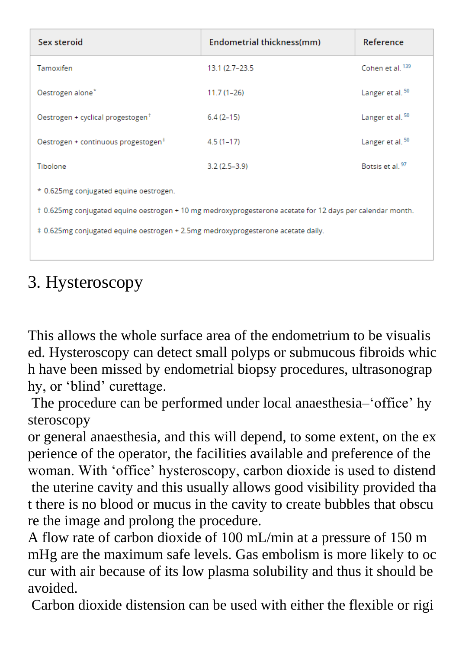| Sex steroid                                                                                               | Endometrial thickness(mm) | Reference                   |  |  |  |  |
|-----------------------------------------------------------------------------------------------------------|---------------------------|-----------------------------|--|--|--|--|
| Tamoxifen                                                                                                 | 13.1 (2.7–23.5)           | Cohen et al. 139            |  |  |  |  |
| Oestrogen alone*                                                                                          | $11.7(1-26)$              | Langer et al. <sup>50</sup> |  |  |  |  |
| Oestrogen + cyclical progestogen <sup>†</sup>                                                             | $6.4(2-15)$               | Langer et al. <sup>50</sup> |  |  |  |  |
| Oestrogen + continuous progestogen <sup>#</sup>                                                           | $4.5(1-17)$               | Langer et al. <sup>50</sup> |  |  |  |  |
| Tibolone                                                                                                  | $3.2(2.5-3.9)$            | Botsis et al. <sup>97</sup> |  |  |  |  |
| * 0.625mg conjugated equine oestrogen.                                                                    |                           |                             |  |  |  |  |
| t 0.625mg conjugated equine oestrogen + 10 mg medroxyprogesterone acetate for 12 days per calendar month. |                           |                             |  |  |  |  |
| ‡ 0.625mg conjugated equine oestrogen + 2.5mg medroxyprogesterone acetate daily.                          |                           |                             |  |  |  |  |
|                                                                                                           |                           |                             |  |  |  |  |

### 3. Hysteroscopy

This allows the whole surface area of the endometrium to be visualis ed. Hysteroscopy can detect small polyps or submucous fibroids whic h have been missed by endometrial biopsy procedures, ultrasonograp hy, or 'blind' curettage.

The procedure can be performed under local anaesthesia–'office' hy steroscopy

or general anaesthesia, and this will depend, to some extent, on the ex perience of the operator, the facilities available and preference of the woman. With 'office' hysteroscopy, carbon dioxide is used to distend the uterine cavity and this usually allows good visibility provided tha t there is no blood or mucus in the cavity to create bubbles that obscu re the image and prolong the procedure.

A flow rate of carbon dioxide of 100 mL/min at a pressure of 150 m mHg are the maximum safe levels. Gas embolism is more likely to oc cur with air because of its low plasma solubility and thus it should be avoided.

Carbon dioxide distension can be used with either the flexible or rigi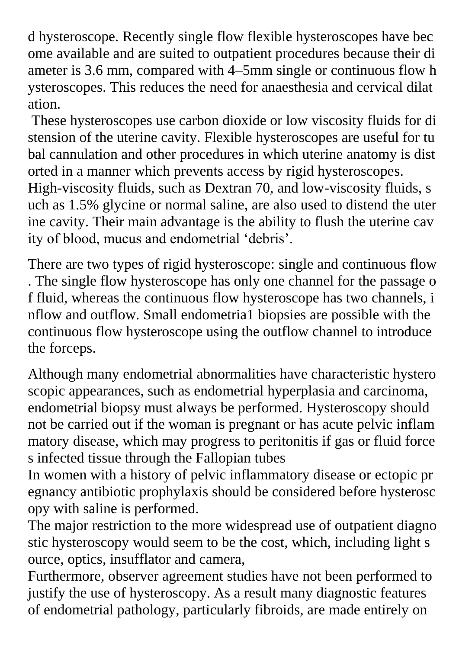d hysteroscope. Recently single flow flexible hysteroscopes have bec ome available and are suited to outpatient procedures because their di ameter is 3.6 mm, compared with 4–5mm single or continuous flow h ysteroscopes. This reduces the need for anaesthesia and cervical dilat ation.

These hysteroscopes use carbon dioxide or low viscosity fluids for di stension of the uterine cavity. Flexible hysteroscopes are useful for tu bal cannulation and other procedures in which uterine anatomy is dist orted in a manner which prevents access by rigid hysteroscopes.

High-viscosity fluids, such as Dextran 70, and low-viscosity fluids, s uch as 1.5% glycine or normal saline, are also used to distend the uter ine cavity. Their main advantage is the ability to flush the uterine cav ity of blood, mucus and endometrial 'debris'.

There are two types of rigid hysteroscope: single and continuous flow . The single flow hysteroscope has only one channel for the passage o f fluid, whereas the continuous flow hysteroscope has two channels, i nflow and outflow. Small endometria1 biopsies are possible with the continuous flow hysteroscope using the outflow channel to introduce the forceps.

Although many endometrial abnormalities have characteristic hystero scopic appearances, such as endometrial hyperplasia and carcinoma, endometrial biopsy must always be performed. Hysteroscopy should not be carried out if the woman is pregnant or has acute pelvic inflam matory disease, which may progress to peritonitis if gas or fluid force s infected tissue through the Fallopian tubes

In women with a history of pelvic inflammatory disease or ectopic pr egnancy antibiotic prophylaxis should be considered before hysterosc opy with saline is performed.

The major restriction to the more widespread use of outpatient diagno stic hysteroscopy would seem to be the cost, which, including light s ource, optics, insufflator and camera,

Furthermore, observer agreement studies have not been performed to justify the use of hysteroscopy. As a result many diagnostic features of endometrial pathology, particularly fibroids, are made entirely on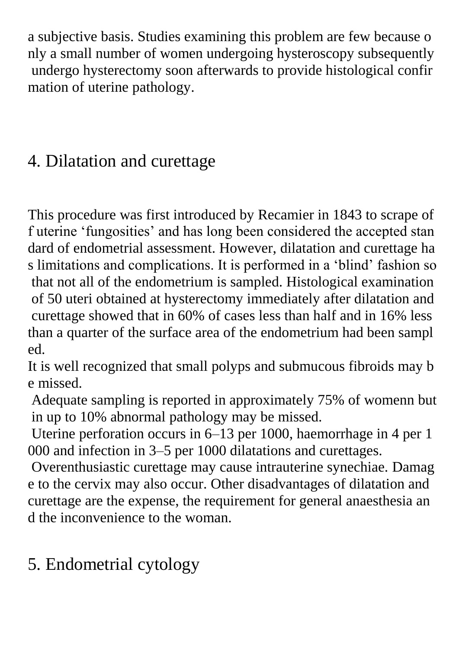a subjective basis. Studies examining this problem are few because o nly a small number of women undergoing hysteroscopy subsequently undergo hysterectomy soon afterwards to provide histological confir mation of uterine pathology.

### 4. Dilatation and curettage

This procedure was first introduced by Recamier in 1843 to scrape of f uterine 'fungosities' and has long been considered the accepted stan dard of endometrial assessment. However, dilatation and curettage ha s limitations and complications. It is performed in a 'blind' fashion so that not all of the endometrium is sampled. Histological examination of 50 uteri obtained at hysterectomy immediately after dilatation and curettage showed that in 60% of cases less than half and in 16% less than a quarter of the surface area of the endometrium had been sampl ed.

It is well recognized that small polyps and submucous fibroids may b e missed.

Adequate sampling is reported in approximately 75% of womenn but in up to 10% abnormal pathology may be missed.

Uterine perforation occurs in 6–13 per 1000, haemorrhage in 4 per 1 000 and infection in 3–5 per 1000 dilatations and curettages.

Overenthusiastic curettage may cause intrauterine synechiae. Damag e to the cervix may also occur. Other disadvantages of dilatation and curettage are the expense, the requirement for general anaesthesia an d the inconvenience to the woman.

### 5. Endometrial cytology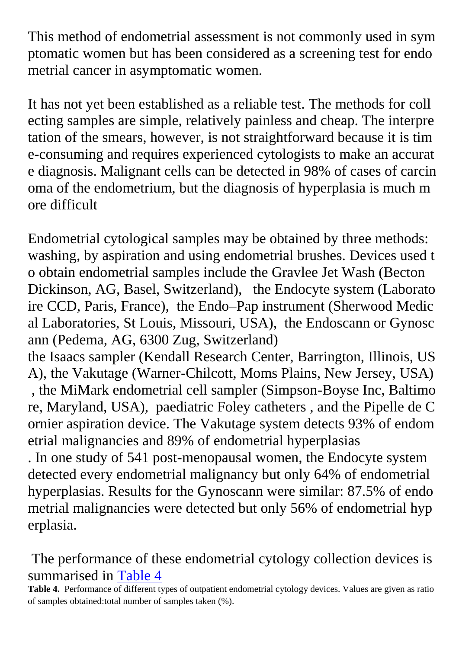This method of endometrial assessment is not commonly used in sym ptomatic women but has been considered as a screening test for endo metrial cancer in asymptomatic women.

It has not yet been established as a reliable test. The methods for coll ecting samples are simple, relatively painless and cheap. The interpre tation of the smears, however, is not straightforward because it is tim e-consuming and requires experienced cytologists to make an accurat e diagnosis. Malignant cells can be detected in 98% of cases of carcin oma of the endometrium, but the diagnosis of hyperplasia is much m ore difficult

Endometrial cytological samples may be obtained by three methods: washing, by aspiration and using endometrial brushes. Devices used t o obtain endometrial samples include the Gravlee Jet Wash (Becton Dickinson, AG, Basel, Switzerland), the Endocyte system (Laborato ire CCD, Paris, France), the Endo–Pap instrument (Sherwood Medic al Laboratories, St Louis, Missouri, USA), the Endoscann or Gynosc ann (Pedema, AG, 6300 Zug, Switzerland)

the Isaacs sampler (Kendall Research Center, Barrington, Illinois, US A), the Vakutage (Warner-Chilcott, Moms Plains, New Jersey, USA)

, the MiMark endometrial cell sampler (Simpson-Boyse Inc, Baltimo re, Maryland, USA), paediatric Foley catheters , and the Pipelle de C ornier aspiration device. The Vakutage system detects 93% of endom etrial malignancies and 89% of endometrial hyperplasias

. In one study of 541 post-menopausal women, the Endocyte system detected every endometrial malignancy but only 64% of endometrial hyperplasias. Results for the Gynoscann were similar: 87.5% of endo metrial malignancies were detected but only 56% of endometrial hyp erplasia.

The performance of these endometrial cytology collection devices is summarised in [Table 4](http://onlinelibrary.wiley.com/doi/10.1111/j.1471-0528.1999.tb08358.x/full)

**Table 4.** Performance of different types of outpatient endometrial cytology devices. Values are given as ratio of samples obtained:total number of samples taken (%).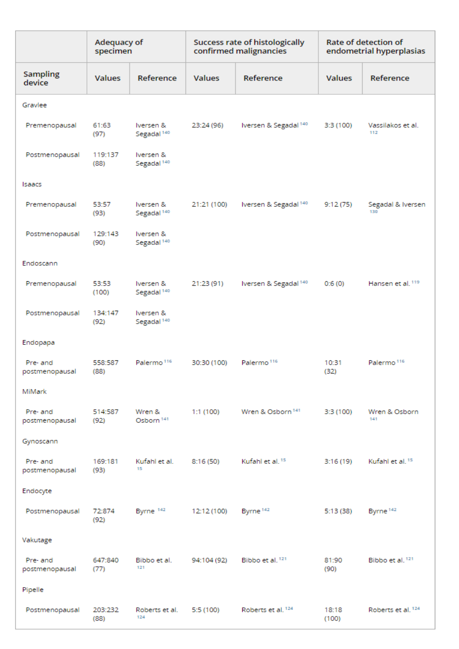|                            | Adequacy of<br>specimen |                                     | <b>Success rate of histologically</b><br>confirmed malignancies |                                  | Rate of detection of<br>endometrial hyperplasias |                               |
|----------------------------|-------------------------|-------------------------------------|-----------------------------------------------------------------|----------------------------------|--------------------------------------------------|-------------------------------|
| <b>Sampling</b><br>device  | <b>Values</b>           | Reference                           | <b>Values</b>                                                   | Reference                        | <b>Values</b>                                    | Reference                     |
| Gravlee                    |                         |                                     |                                                                 |                                  |                                                  |                               |
| Premenopausal              | 61:63<br>(97)           | Iversen &<br>Segadal <sup>140</sup> | 23:24 (96)                                                      | Iversen & Segadal <sup>140</sup> | 3:3 (100)                                        | Vassilakos et al.<br>112      |
| Postmenopausal             | 119:137<br>(88)         | Iversen &<br>Segadal <sup>140</sup> |                                                                 |                                  |                                                  |                               |
| Isaacs                     |                         |                                     |                                                                 |                                  |                                                  |                               |
| Premenopausal              | 53:57<br>(93)           | Iversen &<br>Segadal <sup>140</sup> | 21:21 (100)                                                     | Iversen & Segadal <sup>140</sup> | 9:12(75)                                         | Segadal & Iversen<br>130      |
| Postmenopausal             | 129:143<br>(90)         | Iversen &<br>Segadal <sup>140</sup> |                                                                 |                                  |                                                  |                               |
| Endoscann                  |                         |                                     |                                                                 |                                  |                                                  |                               |
| Premenopausal              | 53:53<br>(100)          | Iversen &<br>Segadal <sup>140</sup> | 21:23 (91)                                                      | Iversen & Segadal <sup>140</sup> | 0:6(0)                                           | Hansen et al. 119             |
| Postmenopausal             | 134:147<br>(92)         | Iversen &<br>Segadal <sup>140</sup> |                                                                 |                                  |                                                  |                               |
| Endopapa                   |                         |                                     |                                                                 |                                  |                                                  |                               |
| Pre- and<br>postmenopausal | 558:587<br>(88)         | Palermo <sup>116</sup>              | 30:30 (100)                                                     | Palermo <sup>116</sup>           | 10:31<br>(32)                                    | Palermo <sup>116</sup>        |
| MiMark                     |                         |                                     |                                                                 |                                  |                                                  |                               |
| Pre- and<br>postmenopausal | 514:587<br>(92)         | Wren &<br>Osborn <sup>141</sup>     | 1:1(100)                                                        | Wren & Osborn <sup>141</sup>     | 3:3 (100)                                        | Wren & Osborn<br>141          |
| Gynoscann                  |                         |                                     |                                                                 |                                  |                                                  |                               |
| Pre- and<br>postmenopausal | 169:181<br>(93)         | Kufahl et al.<br>15                 | 8:16(50)                                                        | Kufahl et al. <sup>15</sup>      | 3:16(19)                                         | Kufahl et al. <sup>15</sup>   |
| Endocyte                   |                         |                                     |                                                                 |                                  |                                                  |                               |
| Postmenopausal             | 72:874<br>(92)          | Byrne 142                           | 12:12 (100)                                                     | Byrne <sup>142</sup>             | 5:13 (38)                                        | Byrne <sup>142</sup>          |
| Vakutage                   |                         |                                     |                                                                 |                                  |                                                  |                               |
| Pre- and<br>postmenopausal | 647:840<br>(77)         | Bibbo et al.<br>121                 | 94:104 (92)                                                     | Bibbo et al. <sup>121</sup>      | 81:90<br>(90)                                    | Bibbo et al. <sup>121</sup>   |
| Pipelle                    |                         |                                     |                                                                 |                                  |                                                  |                               |
| Postmenopausal             | 203:232<br>(88)         | Roberts et al.<br>124               | 5:5 (100)                                                       | Roberts et al. <sup>124</sup>    | 18:18<br>(100)                                   | Roberts et al. <sup>124</sup> |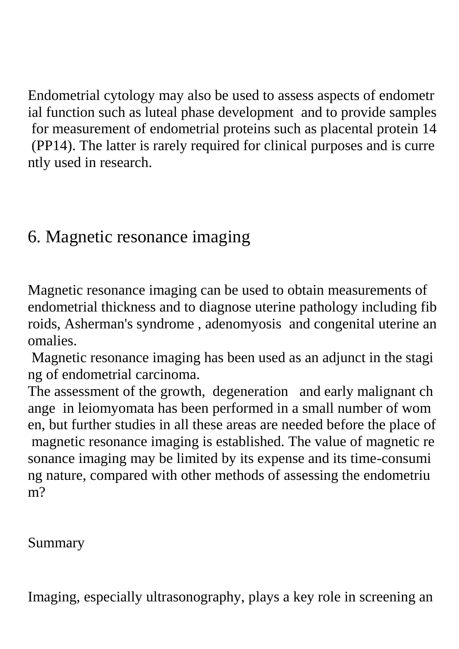Endometrial cytology may also be used to assess aspects of endometr ial function such as luteal phase development and to provide samples for measurement of endometrial proteins such as placental protein 14 (PP14). The latter is rarely required for clinical purposes and is curre ntly used in research.

### 6. Magnetic resonance imaging

Magnetic resonance imaging can be used to obtain measurements of endometrial thickness and to diagnose uterine pathology including fib roids, Asherman's syndrome , adenomyosis and congenital uterine an omalies.

Magnetic resonance imaging has been used as an adjunct in the stagi ng of endometrial carcinoma.

The assessment of the growth, degeneration and early malignant ch ange in leiomyomata has been performed in a small number of wom en, but further studies in all these areas are needed before the place of magnetic resonance imaging is established. The value of magnetic re sonance imaging may be limited by its expense and its time-consumi ng nature, compared with other methods of assessing the endometriu m?

Summary

Imaging, especially ultrasonography, plays a key role in screening an